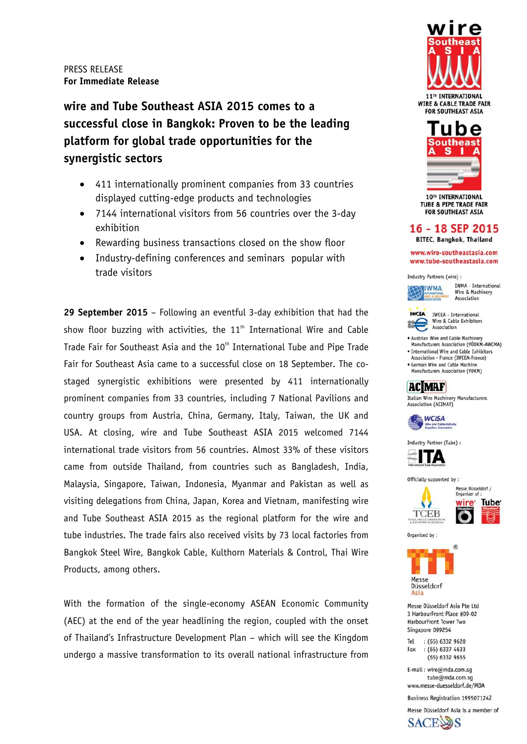**wire and Tube Southeast ASIA 2015 comes to a successful close in Bangkok: Proven to be the leading platform for global trade opportunities for the synergistic sectors** 

- 411 internationally prominent companies from 33 countries displayed cutting-edge products and technologies
- 7144 international visitors from 56 countries over the 3-day exhibition
- Rewarding business transactions closed on the show floor
- Industry-defining conferences and seminars popular with trade visitors

**29 September 2015** – Following an eventful 3-day exhibition that had the show floor buzzing with activities, the  $11<sup>th</sup>$  International Wire and Cable Trade Fair for Southeast Asia and the 10<sup>th</sup> International Tube and Pipe Trade Fair for Southeast Asia came to a successful close on 18 September. The costaged synergistic exhibitions were presented by 411 internationally prominent companies from 33 countries, including 7 National Pavilions and country groups from Austria, China, Germany, Italy, Taiwan, the UK and USA. At closing, wire and Tube Southeast ASIA 2015 welcomed 7144 international trade visitors from 56 countries. Almost 33% of these visitors came from outside Thailand, from countries such as Bangladesh, India, Malaysia, Singapore, Taiwan, Indonesia, Myanmar and Pakistan as well as visiting delegations from China, Japan, Korea and Vietnam, manifesting wire and Tube Southeast ASIA 2015 as the regional platform for the wire and tube industries. The trade fairs also received visits by 73 local factories from Bangkok Steel Wire, Bangkok Cable, Kulthorn Materials & Control, Thai Wire Products, among others.

With the formation of the single-economy ASEAN Economic Community (AEC) at the end of the year headlining the region, coupled with the onset of Thailand's Infrastructure Development Plan – which will see the Kingdom undergo a massive transformation to its overall national infrastructure from



11<sup>TH</sup> INTERNATIONAL **WIRE & CABLE TRADE FAIR FOR SOUTHEAST ASIA** 



**TUBE & PIPE TRADE FAIR FOR SOUTHEAST ASIA** 

# 16 - 18 SEP 2015

**BITEC, Bangkok, Thailand** 

www.wire-southeastasia.com www.tube-southeastasia.com

Industry Partners (wire) :



IWMA - International Wire & Machinery Association



IWCEA - International Wire & Cable Exhibitors

. Austrian Wire and Cable Machinery Manufacturers Association (VÖDKM-AWCMA) · International Wire and Cable Exhibitors

Association - France (IWCEA-France) German Wire and Cable Machine

Manufacturers Association (VDKM)



Italian Wire Machinery Manufacturers Association (ACIMAF)



Industry Partner (Tube) :



Officially supported by:



Tube<sup>®</sup>





Messe Düsseldorf Asia Pte Ltd 3 HarbourFront Place #09-02 HarbourFront Tower Two Singapore 099254

Tel : (65) 6332 9620  $:(65) 6337 4633$ Fax (65) 6332 9655

E-mail: wire@mda.com.sg tube@mda.com.sq www.messe-duesseldorf.de/MDA

Business Registration 199507124Z

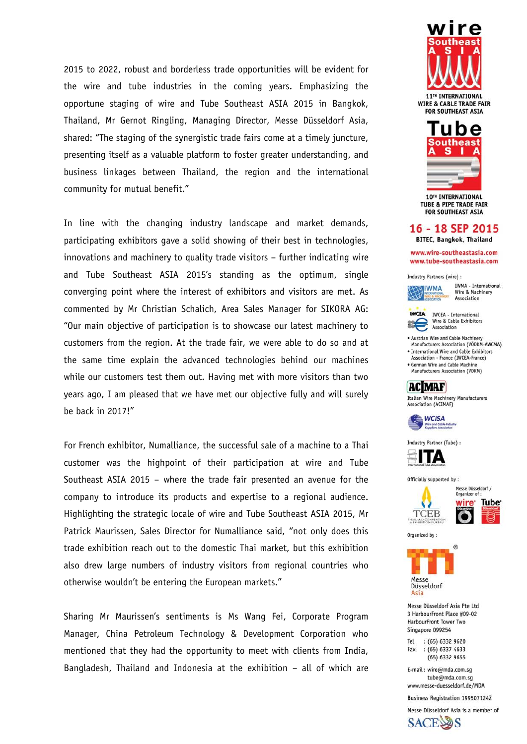2015 to 2022, robust and borderless trade opportunities will be evident for the wire and tube industries in the coming vears. Emphasizing the opportune staging of wire and Tube Southeast ASIA 2015 in Bangkok, Thailand, Mr Gernot Ringling, Managing Director, Messe Düsseldorf Asia, shared: "The staging of the synergistic trade fairs come at a timely juncture, presenting itself as a valuable platform to foster greater understanding, and business linkages between Thailand, the region and the international community for mutual benefit."

In line with the changing industry landscape and market demands, participating exhibitors gave a solid showing of their best in technologies, innovations and machinery to quality trade visitors - further indicating wire and Tube Southeast ASIA 2015's standing as the optimum, single converging point where the interest of exhibitors and visitors are met. As commented by Mr Christian Schalich, Area Sales Manager for SIKORA AG: "Our main objective of participation is to showcase our latest machinery to customers from the region. At the trade fair, we were able to do so and at the same time explain the advanced technologies behind our machines while our customers test them out. Having met with more visitors than two years ago, I am pleased that we have met our objective fully and will surely be back in 2017!"

For French exhibitor, Numalliance, the successful sale of a machine to a Thai customer was the highpoint of their participation at wire and Tube Southeast ASIA 2015 - where the trade fair presented an avenue for the company to introduce its products and expertise to a regional audience. Highlighting the strategic locale of wire and Tube Southeast ASIA 2015, Mr Patrick Maurissen, Sales Director for Numalliance said, "not only does this trade exhibition reach out to the domestic Thai market, but this exhibition also drew large numbers of industry visitors from regional countries who otherwise wouldn't be entering the European markets."

Sharing Mr Maurissen's sentiments is Ms Wang Fei, Corporate Program Manager, China Petroleum Technology & Development Corporation who mentioned that they had the opportunity to meet with clients from India, Bangladesh, Thailand and Indonesia at the exhibition - all of which are



**WIRE & CABLE TRADE FAIR FOR SOUTHEAST ASIA** 



**TUBE & PIPE TRADE FAIR FOR SOUTHEAST ASIA** 

# 16 - 18 SEP 2015

**BITEC, Bangkok, Thailand** 

www.wire-southeastasia.com www.tube-southeastasia.com

Industry Partners (wire) :



IWMA - International Wire & Machinery Association



Wire & Cable Exhibitors Association . Austrian Wire and Cable Machinery

Manufacturers Association (VÖDKM-AWCMA) · International Wire and Cable Exhibitors

Association - France (IWCEA-France) German Wire and Cable Machine





Italian Wire Machinery Manufacturers Association (ACIMAF)





Officially supported by:





Organized by:



Messe Düsseldorf Asia Pte Ltd 3 HarbourFront Place #09-02 HarbourFront Tower Two Singapore 099254

: (65) 6332 9620 Tel : (65) 6337 4633 Fax (65) 6332 9655

E-mail: wire@mda.com.sg tube@mda.com.sq www.messe-duesseldorf.de/MDA

**Business Registration 199507124Z** 

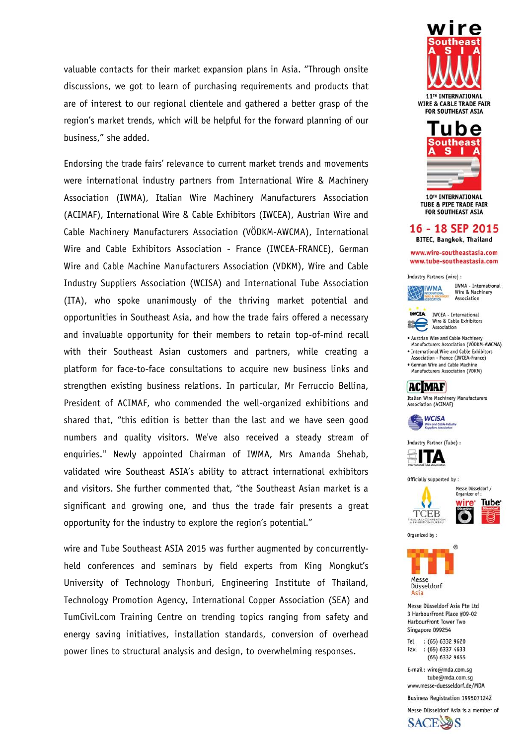valuable contacts for their market expansion plans in Asia. "Through onsite discussions, we got to learn of purchasing requirements and products that are of interest to our regional clientele and gathered a better grasp of the region's market trends, which will be helpful for the forward planning of our business," she added.

Endorsing the trade fairs' relevance to current market trends and movements were international industry partners from International Wire & Machinery Association (IWMA), Italian Wire Machinery Manufacturers Association (ACIMAF), International Wire & Cable Exhibitors (IWCEA), Austrian Wire and Cable Machinery Manufacturers Association (VÖDKM-AWCMA), International Wire and Cable Exhibitors Association - France (IWCEA-FRANCE), German Wire and Cable Machine Manufacturers Association (VDKM), Wire and Cable Industry Suppliers Association (WCISA) and International Tube Association (ITA), who spoke unanimously of the thriving market potential and opportunities in Southeast Asia, and how the trade fairs offered a necessary and invaluable opportunity for their members to retain top-of-mind recall with their Southeast Asian customers and partners, while creating a platform for face-to-face consultations to acquire new business links and strengthen existing business relations. In particular, Mr Ferruccio Bellina, President of ACIMAF, who commended the well-organized exhibitions and shared that, "this edition is better than the last and we have seen good numbers and quality visitors. We've also received a steady stream of enquiries." Newly appointed Chairman of IWMA, Mrs Amanda Shehab, validated wire Southeast ASIA's ability to attract international exhibitors and visitors. She further commented that, "the Southeast Asian market is a significant and growing one, and thus the trade fair presents a great opportunity for the industry to explore the region's potential."

wire and Tube Southeast ASIA 2015 was further augmented by concurrentlyheld conferences and seminars by field experts from King Mongkut's University of Technology Thonburi, Engineering Institute of Thailand, Technology Promotion Agency, International Copper Association (SEA) and TumCivil.com Training Centre on trending topics ranging from safety and energy saving initiatives, installation standards, conversion of overhead power lines to structural analysis and design, to overwhelming responses.



11<sup>TH</sup> INTERNATIONAL **WIRE & CABLE TRADE FAIR FOR SOUTHEAST ASIA** 



**TUBE & PIPE TRADE FAIR FOR SOUTHEAST ASIA** 

# 16 - 18 SEP 2015

**BITEC, Bangkok, Thailand** 

www.wire-southeastasia.com www.tube-southeastasia.com

Industry Partners (wire) :



IWMA - International Wire & Machinery Association



IWCEA - International Wire & Cable Exhibitors

. Austrian Wire and Cable Machinery Manufacturers Association (VÖDKM-AWCMA) · International Wire and Cable Exhibitors

Association - France (IWCEA-France) German Wire and Cable Machine

Manufacturers Association (VDKM)



Italian Wire Machinery Manufacturers Association (ACIMAF)



Industry Partner (Tube) :

ТД

Officially supported by :





Organized by:



Messe Düsseldorf Asia Pte Ltd 3 HarbourFront Place #09-02 HarbourFront Tower Two Singapore 099254

Tel : (65) 6332 9620  $:(65) 6337 4633$ Fax (65) 6332 9655

E-mail: wire@mda.com.sg tube@mda.com.sq www.messe-duesseldorf.de/MDA

Business Registration 199507124Z

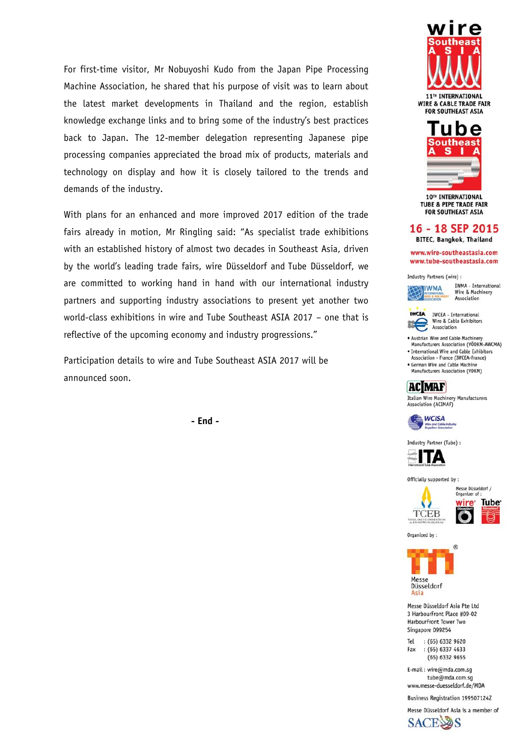For first-time visitor, Mr Nobuyoshi Kudo from the Japan Pipe Processing Machine Association, he shared that his purpose of visit was to learn about the latest market developments in Thailand and the region, establish knowledge exchange links and to bring some of the industry's best practices back to Japan. The 12-member delegation representing Japanese pipe processing companies appreciated the broad mix of products, materials and technology on display and how it is closely tailored to the trends and demands of the industry.

With plans for an enhanced and more improved 2017 edition of the trade fairs already in motion, Mr Ringling said: "As specialist trade exhibitions with an established history of almost two decades in Southeast Asia, driven by the world's leading trade fairs, wire Düsseldorf and Tube Düsseldorf, we are committed to working hand in hand with our international industry partners and supporting industry associations to present yet another two world-class exhibitions in wire and Tube Southeast ASIA 2017 - one that is reflective of the upcoming economy and industry progressions."

Participation details to wire and Tube Southeast ASIA 2017 will be announced soon.

- End -



11<sup>TH</sup> INTERNATIONAL **WIRE & CABLE TRADE FAIR FOR SOUTHEAST ASIA** 



**TUBE & PIPE TRADE FAIR FOR SOUTHEAST ASIA** 

# 16 - 18 SEP 2015

**BITEC, Bangkok, Thailand** 

www.wire-southeastasia.com www.tube-southeastasia.com

Industry Partners (wire) :



IWMA - International Wire & Machinery Association



IWCEA - International Wire & Cable Exhibitors Association

. Austrian Wire and Cable Machinery Manufacturers Association (VÖDKM-AWCMA) · International Wire and Cable Exhibitors

Association - France (IWCEA-France) · German Wire and Cable Machine

Manufacturers Association (VDKM)

# **ACMAF**

Italian Wire Machinery Manufacturers Association (ACIMAF)



Industry Partner (Tube) :



Officially supported by :





Organized by:



Messe Düsseldorf Asia Pte Ltd 3 HarbourFront Place #09-02 HarbourFront Tower Two Singapore 099254

Tel : (65) 6332 9620 : (65) 6337 4633 Fax (65) 6332 9655

E-mail: wire@mda.com.sg tube@mda.com.sq www.messe-duesseldorf.de/MDA

Business Registration 199507124Z

Messe Düsseldorf Asia is a member of **SACE**S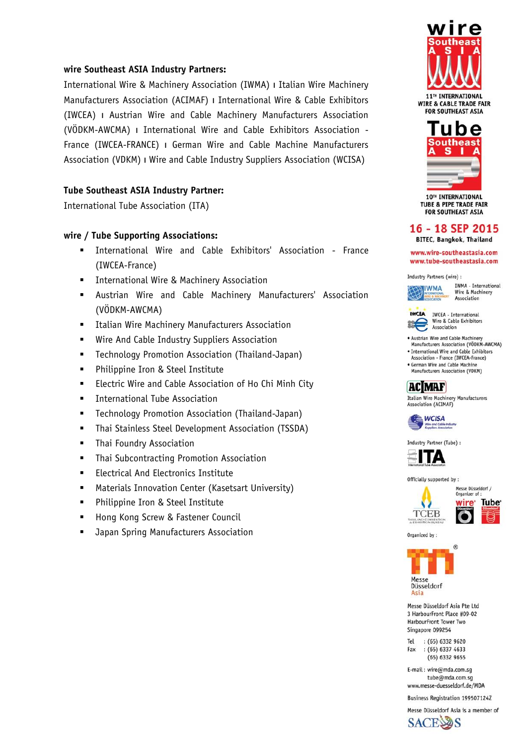# **wire Southeast ASIA Industry Partners:**

International Wire & Machinery Association (IWMA) ו Italian Wire Machinery Manufacturers Association (ACIMAF) ו International Wire & Cable Exhibitors (IWCEA) ו Austrian Wire and Cable Machinery Manufacturers Association (VÖDKM-AWCMA) ו International Wire and Cable Exhibitors Association - France (IWCEA-FRANCE) ו German Wire and Cable Machine Manufacturers Association (VDKM) ו Wire and Cable Industry Suppliers Association (WCISA)

# **Tube Southeast ASIA Industry Partner:**

International Tube Association (ITA)

## **wire / Tube Supporting Associations:**

- International Wire and Cable Exhibitors' Association France (IWCEA-France)
- **International Wire & Machinery Association**
- Austrian Wire and Cable Machinery Manufacturers' Association (VÖDKM-AWCMA)
- **EXEC** Italian Wire Machinery Manufacturers Association
- **Wire And Cable Industry Suppliers Association**
- Technology Promotion Association (Thailand-Japan)
- **•** Philippine Iron & Steel Institute
- **ELECTRIC Wire and Cable Association of Ho Chi Minh City**
- **International Tube Association**
- Technology Promotion Association (Thailand-Japan)
- Thai Stainless Steel Development Association (TSSDA)
- **F** Thai Foundry Association
- **F** Thai Subcontracting Promotion Association
- **Electrical And Electronics Institute**
- **EXECT:** Materials Innovation Center (Kasetsart University)
- Philippine Iron & Steel Institute
- **Hong Kong Screw & Fastener Council**
- **Japan Spring Manufacturers Association**



11<sup>TH</sup> INTERNATIONAL **WIRE & CABLE TRADE FAIR FOR SOUTHEAST ASIA** 



**TUBE & PIPE TRADE FAIR FOR SOUTHEAST ASIA** 

# 16 - 18 SEP 2015

**BITEC, Bangkok, Thailand** 

www.wire-southeastasia.com www.tube-southeastasia.com

Industry Partners (wire) :



IWMA - International Wire & Machinery Association



IWCEA - International Wire & Cable Exhibitors Association

- . Austrian Wire and Cable Machinery Manufacturers Association (VÖDKM-AWCMA)
- · International Wire and Cable Exhibitors Association - France (IWCEA-France)
- · German Wire and Cable Machine Manufacturers Association (VDKM)



Italian Wire Machinery Manufacturers Association (ACIMAF)



Industry Partner (Tube) :



Officially supported by:



Tube<sup>®</sup>

Organized by:



Messe Düsseldorf Asia Pte Ltd 3 HarbourFront Place #09-02 HarbourFront Tower Two Singapore 099254

Tel : (65) 6332 9620 : (65) 6337 4633 Fax (65) 6332 9655

E-mail: wire@mda.com.sg tube@mda.com.sq www.messe-duesseldorf.de/MDA

Business Registration 199507124Z

Messe Düsseldorf Asia is a member of